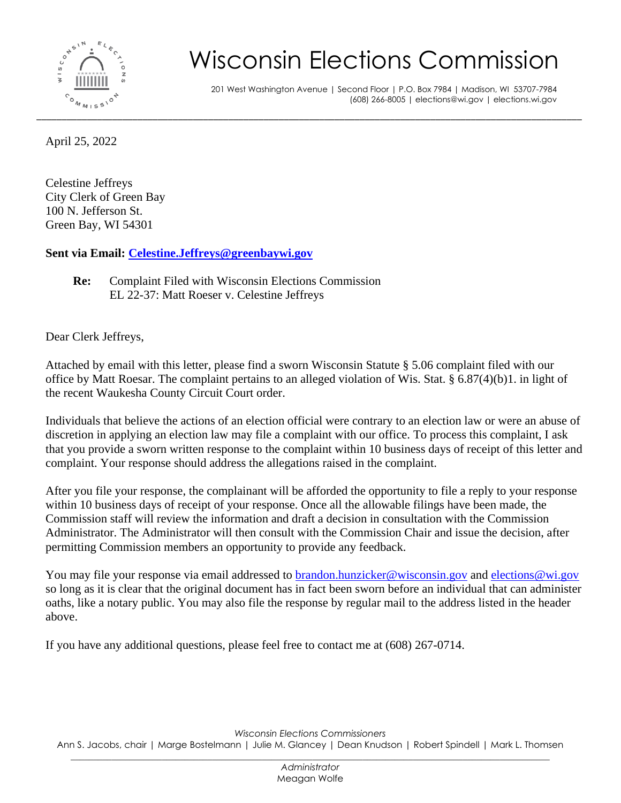

## Wisconsin Elections Commission

201 West Washington Avenue | Second Floor | P.O. Box 7984 | Madison, WI 53707-7984 (608) 266-8005 | elections@wi.gov | elections.wi.gov

April 25, 2022

Celestine Jeffreys City Clerk of Green Bay 100 N. Jefferson St. Green Bay, WI 54301

**Sent via Email: [Celestine.Jeffreys@greenbaywi.gov](mailto:Celestine.Jeffreys@greenbaywi.gov)**

**Re:** Complaint Filed with Wisconsin Elections Commission EL 22-37: Matt Roeser v. Celestine Jeffreys

Dear Clerk Jeffreys,

Attached by email with this letter, please find a sworn Wisconsin Statute § 5.06 complaint filed with our office by Matt Roesar. The complaint pertains to an alleged violation of Wis. Stat. § 6.87(4)(b)1. in light of the recent Waukesha County Circuit Court order.

Individuals that believe the actions of an election official were contrary to an election law or were an abuse of discretion in applying an election law may file a complaint with our office. To process this complaint, I ask that you provide a sworn written response to the complaint within 10 business days of receipt of this letter and complaint. Your response should address the allegations raised in the complaint.

After you file your response, the complainant will be afforded the opportunity to file a reply to your response within 10 business days of receipt of your response. Once all the allowable filings have been made, the Commission staff will review the information and draft a decision in consultation with the Commission Administrator. The Administrator will then consult with the Commission Chair and issue the decision, after permitting Commission members an opportunity to provide any feedback.

You may file your response via email addressed to [brandon.hunzicker@wisconsin.gov](mailto:brandon.hunzicker@wisconsin.gov) and [elections@wi.gov](mailto:elections@wi.gov) so long as it is clear that the original document has in fact been sworn before an individual that can administer oaths, like a notary public. You may also file the response by regular mail to the address listed in the header above.

If you have any additional questions, please feel free to contact me at (608) 267-0714.